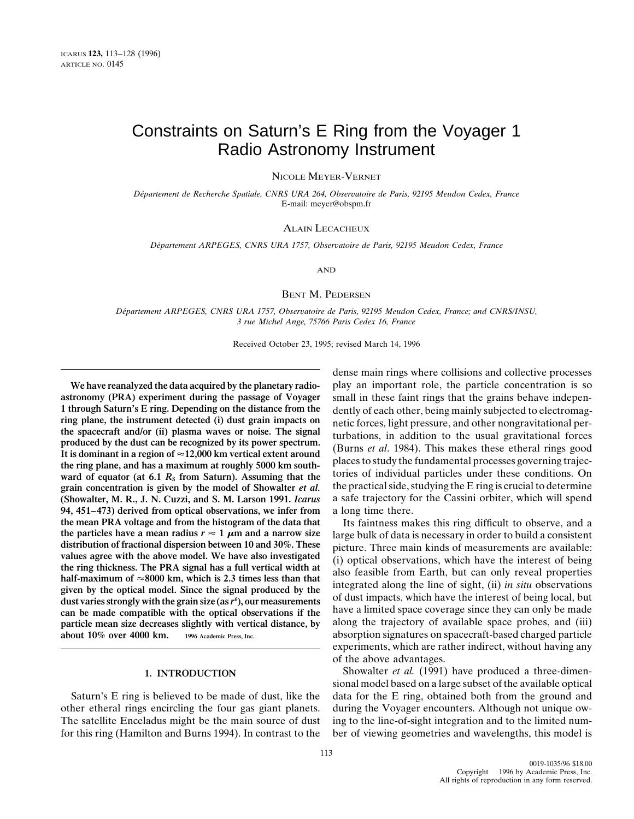## Constraints on Saturn's E Ring from the Voyager 1 Radio Astronomy Instrument

NICOLE MEYER-VERNET

*De´partement de Recherche Spatiale, CNRS URA 264, Observatoire de Paris, 92195 Meudon Cedex, France* E-mail: meyer@obspm.fr

## ALAIN LECACHEUX

*De´partement ARPEGES, CNRS URA 1757, Observatoire de Paris, 92195 Meudon Cedex, France*

AND

### BENT M. PEDERSEN

*De´partement ARPEGES, CNRS URA 1757, Observatoire de Paris, 92195 Meudon Cedex, France; and CNRS/INSU, 3 rue Michel Ange, 75766 Paris Cedex 16, France*

Received October 23, 1995; revised March 14, 1996

**astronomy (PRA) experiment during the passage of Voyager** small in these faint rings that the grains behave indepen-<br>1 through Saturn's E ring. Depending on the distance from the dently of each other, being mainly subject **1 through Saturn's E ring. Depending on the distance from the** dently of each other, being mainly subjected to electromagring plane, the instrument detected (i) dust grain impacts on netic forces light pressure and other ring plane, the instrument detected (i) dust grain impacts on<br>the spacecraft and/or (ii) plasma waves or noise. The signal<br>produced by the dust can be recognized by its power spectrum.<br>It is dominant in a region of  $\approx$ 12 the ring plane, and has a maximum at roughly 5000 km south-<br>ward of equator (at 6.1  $R_s$  from Saturn). Assuming that the tories of individual particles under these conditions. On<br>grain concentration is given by the model grain concentration is given by the model of Showalter *et al.* **(Showalter, M. R., J. N. Cuzzi, and S. M. Larson 1991.** *Icarus* a safe trajectory for the Cassini orbiter, which will spend **94, 451–473) derived from optical observations, we infer from** a long time there. **the mean PRA voltage and from the histogram of the data that** Its faintness makes this ring difficult to observe, and a the particles have a mean radius  $r \approx 1 \mu m$  and a narrow size large bulk of data is necessary in ord the particles have a mean radius  $r \approx 1$   $\mu$ m and a narrow size<br>distribution of fractional dispersion between 10 and 30%. These<br>values agree with the above model. We have also investigated<br>the ring thickness. The PRA sig dust varies strongly with the grain size (as r<sup>6</sup>), our measurements of dust impacts, which have the interest of being local, but can be made compatible with the optical observations if the have a limited space coverage si **particle mean size decreases slightly with vertical distance, by** along the trajectory of available space probes, and (iii) about 10% over 4000 km. © 1996 Academic Press, Inc.

other etheral rings encircling the four gas giant planets. during the Voyager encounters. Although not unique ow-The satellite Enceladus might be the main source of dust ing to the line-of-sight integration and to the limited numfor this ring (Hamilton and Burns 1994). In contrast to the ber of viewing geometries and wavelengths, this model is

dense main rings where collisions and collective processes **We have reanalyzed the data acquired by the planetary radio-** play an important role, the particle concentration is so

> absorption signatures on spacecraft-based charged particle experiments, which are rather indirect, without having any of the above advantages.

**1. INTRODUCTION** Showalter *et al.* (1991) have produced a three-dimensional model based on a large subset of the available optical Saturn's E ring is believed to be made of dust, like the data for the E ring, obtained both from the ground and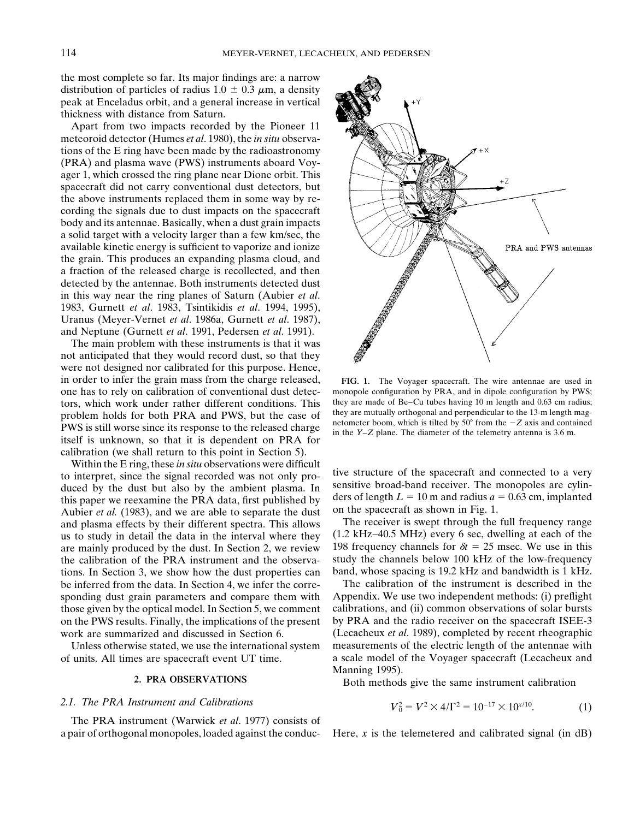the most complete so far. Its major findings are: a narrow distribution of particles of radius  $1.0 \pm 0.3 \mu$ m, a density peak at Enceladus orbit, and a general increase in vertical thickness with distance from Saturn.

Apart from two impacts recorded by the Pioneer 11 meteoroid detector (Humes *et al*. 1980), the *in situ* observations of the E ring have been made by the radioastronomy (PRA) and plasma wave (PWS) instruments aboard Voyager 1, which crossed the ring plane near Dione orbit. This spacecraft did not carry conventional dust detectors, but the above instruments replaced them in some way by recording the signals due to dust impacts on the spacecraft body and its antennae. Basically, when a dust grain impacts a solid target with a velocity larger than a few km/sec, the available kinetic energy is sufficient to vaporize and ionize the grain. This produces an expanding plasma cloud, and a fraction of the released charge is recollected, and then detected by the antennae. Both instruments detected dust in this way near the ring planes of Saturn (Aubier *et al*. 1983, Gurnett *et al*. 1983, Tsintikidis *et al*. 1994, 1995), Uranus (Meyer-Vernet *et al*. 1986a, Gurnett *et al*. 1987), and Neptune (Gurnett *et al*. 1991, Pedersen *et al*. 1991).

The main problem with these instruments is that it was not anticipated that they would record dust, so that they were not designed nor calibrated for this purpose. Hence, in order to infer the grain mass from the charge released, **FIG. 1.** The Voyager spacecraft. The wire antennae are used in one has to rely on calibration of conventional dust detec-<br>tors which work under rather different conditions. This they are made of Be-Cu tubes having 10 m length and 0.63 cm radius; tors, which work under rather different conditions. This they are made of Be–Cu tubes having 10 m length and 0.63 cm radius; to report to the 13-m length magneticular to the 13-m length magproblem holds for both PRA and PWS, but the case of<br>PWS is still worse since its response to the released charge<br>itself is unknown, so that it is dependent on PRA for<br>itself is unknown, so that it is dependent on PRA for calibration (we shall return to this point in Section 5).

Within the E ring, these *in situ* observations were difficult to interpret, since the signal recorded was not only pro-<br>duced by the dust but also by the ambient plasma. In<br>this paper we reexamine the PRA data, first published by<br>Aubier et al. (1983), and we are able to separate the Aubier *et al.* (1983), and we are able to separate the dust on the spacecraft as shown in Fig. 1.<br>and plasma effects by their different spectra. This allows The receiver is swept through the full frequency range and plasma effects by their different spectra. This allows are mainly produced by the dust. In Section 2, we review the calibration of the PRA instrument and the observa- study the channels below 100 kHz of the low-frequency tions. In Section 3, we show how the dust properties can band, whose spacing is 19.2 kHz and bandwidth is 1 kHz. be inferred from the data. In Section 4, we infer the corre- The calibration of the instrument is described in the

## 2.1. The PRA Instrument and Calibrations

The PRA instrument (Warwick *et al*. 1977) consists of a pair of orthogonal monopoles, loaded against the conduc- Here, *x* is the telemetered and calibrated signal (in dB)



 $+X$ 

us to study in detail the data in the interval where they (1.2 kHz–40.5 MHz) every 6 sec, dwelling at each of the are mainly produced by the dust. In Section 2, we review 198 frequency channels for  $\delta t = 25$  msec. We use

sponding dust grain parameters and compare them with Appendix. We use two independent methods: (i) preflight those given by the optical model. In Section 5, we comment calibrations, and (ii) common observations of solar bursts on the PWS results. Finally, the implications of the present by PRA and the radio receiver on the spacecraft ISEE-3 work are summarized and discussed in Section 6. (Lecacheux *et al*. 1989), completed by recent rheographic Unless otherwise stated, we use the international system measurements of the electric length of the antennae with of units. All times are spacecraft event UT time. a scale model of the Voyager spacecraft (Lecacheux and Manning 1995).

**2. PRA OBSERVATIONS** Both methods give the same instrument calibration

$$
V_0^2 = V^2 \times 4/\Gamma^2 = 10^{-17} \times 10^{x/10}.
$$
 (1)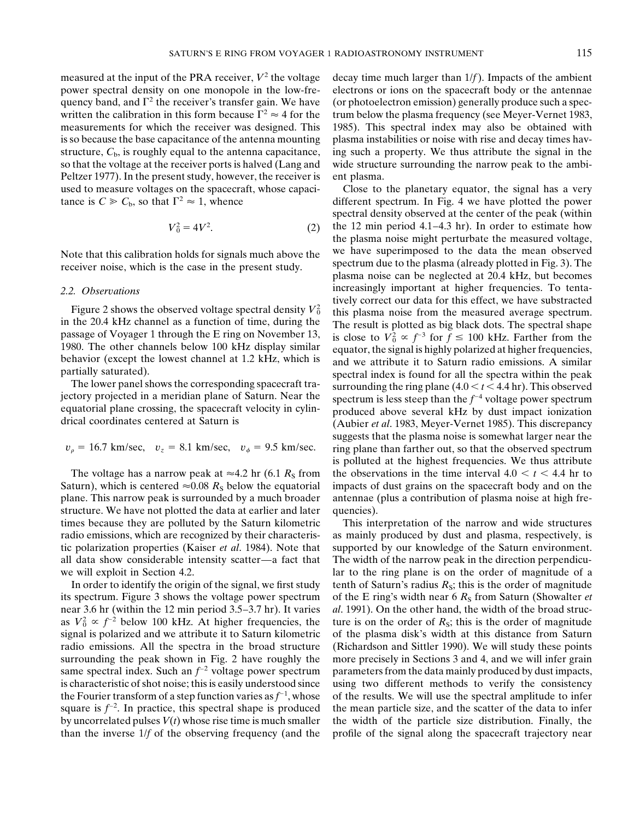measured at the input of the PRA receiver,  $V^2$  the voltage decay time much larger than  $1/f$ ). Impacts of the ambient power spectral density on one monopole in the low-fre- electrons or ions on the spacecraft body or the antennae quency band, and  $\Gamma^2$  the receiver's transfer gain. We have (or photoelectron emission) generally produce such a specmeasurements for which the receiver was designed. This 1985). This spectral index may also be obtained with is so because the base capacitance of the antenna mounting plasma instabilities or noise with rise and decay times havstructure,  $C<sub>b</sub>$ , is roughly equal to the antenna capacitance, ing such a property. We thus attribute the signal in the so that the voltage at the receiver ports is halved (Lang and wide structure surrounding the narrow peak to the ambi-Peltzer 1977). In the present study, however, the receiver is ent plasma. used to measure voltages on the spacecraft, whose capaci- Close to the planetary equator, the signal has a very

$$
V_0^2 = 4V^2.
$$
 (2)

Saturn), which is centered  $\approx 0.08$  *R<sub>S</sub>* below the equatorial impacts of dust grains on the spacecraft body and on the plane. This narrow peak is surrounded by a much broader antennae (plus a contribution of plasma noise at high frestructure. We have not plotted the data at earlier and later quencies). times because they are polluted by the Saturn kilometric This interpretation of the narrow and wide structures radio emissions, which are recognized by their characteris- as mainly produced by dust and plasma, respectively, is tic polarization properties (Kaiser *et al*. 1984). Note that supported by our knowledge of the Saturn environment. all data show considerable intensity scatter—a fact that The width of the narrow peak in the direction perpendicu-

its spectrum. Figure 3 shows the voltage power spectrum of the E ring's width near  $6 R<sub>S</sub>$  from Saturn (Showalter *et* near 3.6 hr (within the 12 min period 3.5–3.7 hr). It varies *al*. 1991). On the other hand, the width of the broad strucas  $V_0^2 \propto f^{-2}$  below 100 kHz. At higher frequencies, the ture is on the order of  $R_s$ ; this is the order of magnitude signal is polarized and we attribute it to Saturn kilometric of the plasma disk's width at this distance from Saturn radio emissions. All the spectra in the broad structure (Richardson and Sittler 1990). We will study these points surrounding the peak shown in Fig. 2 have roughly the more precisely in Sections 3 and 4, and we will infer grain same spectral index. Such an  $f^{-2}$  voltage power spectrum parameters from the data mainly produced by dust impacts, is characteristic of shot noise; this is easily understood since using two different methods to verify the consistency square is  $f^{-2}$ . In practice, this spectral shape is produced by uncorrelated pulses  $V(t)$  whose rise time is much smaller the width of the particle size distribution. Finally, the than the inverse 1/*f* of the observing frequency (and the profile of the signal along the spacecraft trajectory near

written the calibration in this form because  $\Gamma^2 \approx 4$  for the trum below the plasma frequency (see Meyer-Vernet 1983,

tance is  $C \geq C_b$ , so that  $\Gamma^2 \approx 1$ , whence different spectrum. In Fig. 4 we have plotted the power spectral density observed at the center of the peak (within the 12 min period 4.1–4.3 hr). In order to estimate how the plasma noise might perturbate the measured voltage, Note that this calibration holds for signals much above the we have superimposed to the data the mean observed<br>spectrum due to the plasma (already plotted in Fig. 3). The receiver noise, which is the case in the present study. Spectrum que to the plasma (already plotted in Fig. 3). The receiver noise can be neglected at 20.4 kHz, but becomes 2.2. *Observations* increasingly important at higher frequencies. To tenta-<br>*ively correct our data for this effect*, we have substracted Figure 2 shows the observed voltage spectral density  $V_0^2$  this plasma noise from the measured average spectrum. Figure 2 shows the observed voltage spectral density  $V_0$  this plasma noise from the measured average spectrum.<br>in the 20.4 kHz channel as a function of time, during the The result is plotted as big black dots. The spect 1980. The other channels below 100 kHz display similar equator, the signal is highly polarized at higher frequencies,<br>behavior (except the lowest channel at 1.2 kHz, which is and we attribute it to Saturn radio emissions. partially saturated).<br>
The lower panel shows the corresponding spacecraft tra-<br>
jectory projected in a meridian plane of Saturn. Near the<br>
equatorial plane crossing, the spacecraft velocity in cylin-<br>
drical coordinates c suggests that the plasma noise is somewhat larger near the  $v_p = 16.7$  km/sec,  $v_z = 8.1$  km/sec,  $v_{\phi} = 9.5$  km/sec. ring plane than farther out, so that the observed spectrum is polluted at the highest frequencies. We thus attribute The voltage has a narrow peak at  $\approx$  4.2 hr (6.1  $R_S$  from the observations in the time interval 4.0  $\lt t$   $\lt$  4.4 hr to

we will exploit in Section 4.2. **large is on the ring plane** is on the order of magnitude of a In order to identify the origin of the signal, we first study tenth of Saturn's radius  $R<sub>S</sub>$ ; this is the order of magnitude the Fourier transform of a step function varies as  $f^{-1}$ , whose of the results. We will use the spectral amplitude to infer the mean particle size, and the scatter of the data to infer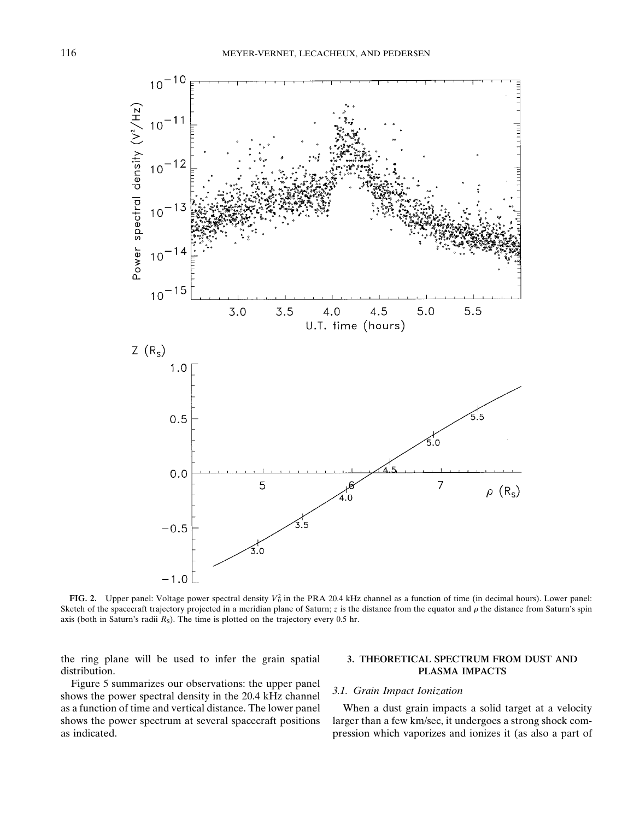

**FIG. 2.** Upper panel: Voltage power spectral density  $V_0^2$  in the PRA 20.4 kHz channel as a function of time (in decimal hours). Lower panel: Sketch of the spacecraft trajectory projected in a meridian plane of Saturn;  $z$  is the distance from the equator and  $\rho$  the distance from Saturn's spin axis (both in Saturn's radii  $R<sub>S</sub>$ ). The time is plotted on the trajectory every 0.5 hr.

the ring plane will be used to infer the grain spatial **3. THEORETICAL SPECTRUM FROM DUST AND** distribution. **PLASMA IMPACTS**

Figure 5 summarizes our observations: the upper panel<br>shows the power spectral density in the 20.4 kHz channel<br> $3.1.$  Grain Impact Ionization as a function of time and vertical distance. The lower panel When a dust grain impacts a solid target at a velocity shows the power spectrum at several spacecraft positions larger than a few km/sec, it undergoes a strong shock com-

as indicated. pression which vaporizes and ionizes it (as also a part of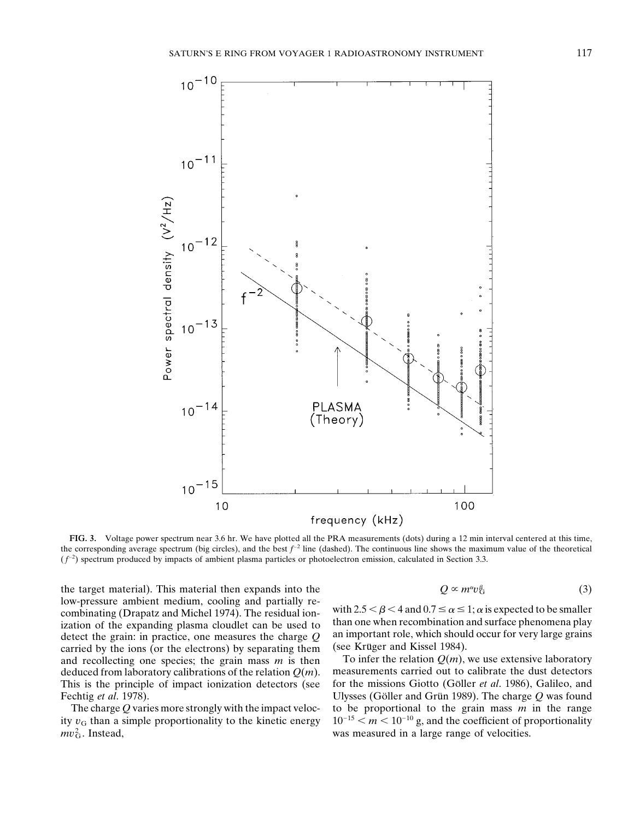

**FIG. 3.** Voltage power spectrum near 3.6 hr. We have plotted all the PRA measurements (dots) during a 12 min interval centered at this time, the corresponding average spectrum (big circles), and the best  $f<sup>-2</sup>$  line (dashed). The continuous line shows the maximum value of the theoretical  $(f<sup>-2</sup>)$  spectrum produced by impacts of ambient plasma particles or photoelectron emission, calculated in Section 3.3.

the target material). This material then expands into the low-pressure ambient medium, cooling and partially re-<br>combinating (Drapatz and Michel 1974). The residual ion-<br>ization of the expanding plasma cloudlet can be used to<br>detect the grain: in practice, one measures the charg detect the grain: in practice, one measures the charge  $Q$  an important role, which should carried by the ions (or the electrons) by separating them (see Kruger and Kissel 1984). carried by the ions (or the electrons) by separating them (see Kruger and Kissel 1984).<br>and recollecting one species: the grain mass m is then To infer the relation  $Q(m)$ , we use extensive laboratory and recollecting one species; the grain mass *m* is then deduced from laboratory calibrations of the relation *Q*(*m*). measurements carried out to calibrate the dust detectors This is the principle of impact ionization detectors (see for the missions Giotto (Göller *et al.* 1986), Galileo, and Fechtig *et al.* 1978). Ulysses (Göller and Grün 1989). The charge Q was found

ity  $v<sub>G</sub>$  than a simple proportionality to the kinetic energy  $mv<sub>G</sub><sup>2</sup>$ . Instead,

$$
Q \propto m^{\alpha} v_{\rm G}^{\beta} \tag{3}
$$

The charge *Q* varies more strongly with the impact veloc- to be proportional to the grain mass *m* in the range  $y y_0$  than a simple proportionality to the kinetic energy  $10^{-15} < m < 10^{-10}$  g, and the coefficient of prop was measured in a large range of velocities.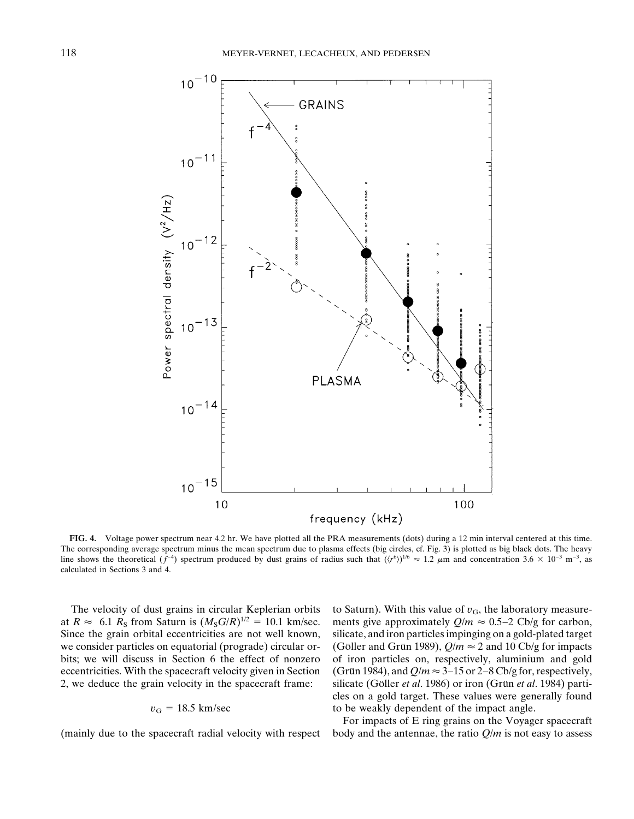

**FIG. 4.** Voltage power spectrum near 4.2 hr. We have plotted all the PRA measurements (dots) during a 12 min interval centered at this time. The corresponding average spectrum minus the mean spectrum due to plasma effects (big circles, cf. Fig. 3) is plotted as big black dots. The heavy line shows the theoretical  $(f^{-4})$  spectrum produced by dust grains of radius such that  $((r^6))^{1/6} \approx 1.2 \mu m$  and concentration 3.6  $\times$  10<sup>-3</sup> m<sup>-3</sup>, as calculated in Sections 3 and 4.

The velocity of dust grains in circular Keplerian orbits to Saturn). With this value of  $v_G$ , the laboratory measureat  $R \approx 6.1$   $R_\text{S}$  from Saturn is  $(M_\text{S}G/R)^{1/2} = 10.1$  km/sec. ments give approximately  $Q/m \approx 0.5-2$  Cb/g for carbon, Since the grain orbital eccentricities are not well known, silicate, and iron particles impinging on a gold-plated target we consider particles on equatorial (prograde) circular or- (Go'ller and Grun 1989),  $Q/m \approx 2$  and 10 Cb/g for impacts bits; we will discuss in Section 6 the effect of nonzero of iron particles on, respectively, aluminium and gold eccentricities. With the spacecraft velocity given in Section (Grun 1984), and  $Q/m \approx 3-15$  or 2–8 Cb/g for, respectively, 2, we deduce the grain velocity in the spacecraft frame: silicate (Göller *et al.* 1986) or iron (Grün *et al.* 1984) particles on a gold target. These values were generally found  $v<sub>G</sub> = 18.5$  km/sec to be weakly dependent of the impact angle.

For impacts of E ring grains on the Voyager spacecraft (mainly due to the spacecraft radial velocity with respect body and the antennae, the ratio *Q*/*m* is not easy to assess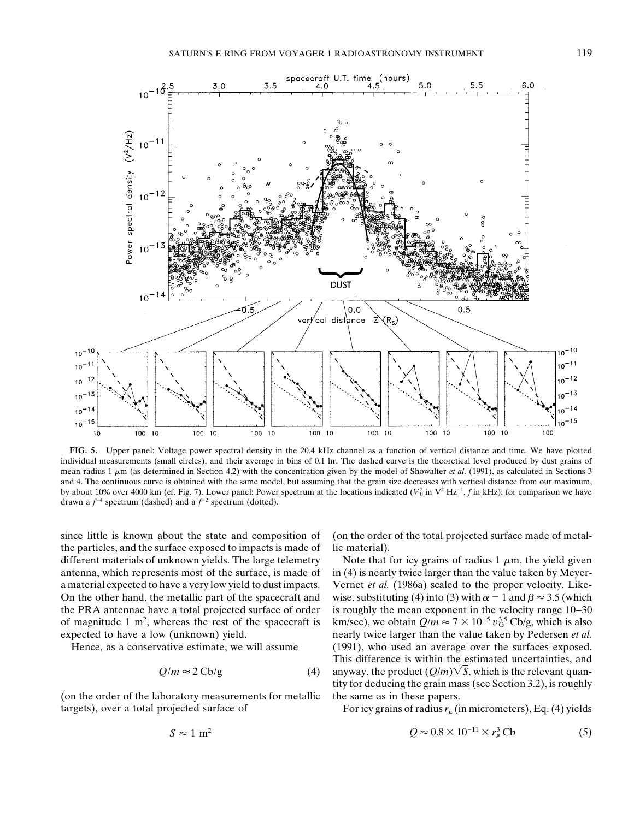

**FIG. 5.** Upper panel: Voltage power spectral density in the 20.4 kHz channel as a function of vertical distance and time. We have plotted individual measurements (small circles), and their average in bins of 0.1 hr. The dashed curve is the theoretical level produced by dust grains of mean radius 1  $\mu$ m (as determined in Section 4.2) with the concentration given by the model of Showalter *et al.* (1991), as calculated in Sections 3 and 4. The continuous curve is obtained with the same model, but assuming that the grain size decreases with vertical distance from our maximum, by about 10% over 4000 km (cf. Fig. 7). Lower panel: Power spectrum at the locations indicated  $(V_0^2$  in  $V^2 Hz^{-1}$ , *f* in kHz); for comparison we have drawn a  $f^{-4}$  spectrum (dashed) and a  $f^{-2}$  spectrum (dotted).

since little is known about the state and composition of (on the order of the total projected surface made of metalthe particles, and the surface exposed to impacts is made of lic material). different materials of unknown yields. The large telemetry Note that for icy grains of radius  $1 \mu m$ , the yield given antenna, which represents most of the surface, is made of in  $(4)$  is nearly twice larger than the value taken by Meyera material expected to have a very low yield to dust impacts. Vernet *et al.* (1986a) scaled to the proper velocity. Like-On the other hand, the metallic part of the spacecraft and wise, substituting (4) into (3) with  $\alpha = 1$  and  $\beta \approx 3.5$  (which the PRA antennae have a total projected surface of order is roughly the mean exponent in the velocity range 10–30 of magnitude 1  $m^2$ , whereas the rest of the spacecraft is expected to have a low (unknown) yield. nearly twice larger than the value taken by Pedersen *et al.* 

 $10<sup>-</sup>$ 

 $10$ 

 $10$ 

$$
Q/m \approx 2 \text{Cb/g} \tag{4}
$$

(on the order of the laboratory measurements for metallic the same as in these papers. targets), over a total projected surface of For icy grains of radius  $r_{\mu}$  (in micrometers), Eq. (4) yields

km/sec), we obtain  $Q/m \approx 7 \times 10^{-5} v_{\rm G}^{3.5}$  Cb/g, which is also Hence, as a conservative estimate, we will assume (1991), who used an average over the surfaces exposed. This difference is within the estimated uncertainties, and anyway, the product  $(Q/m)\sqrt{S}$ , which is the relevant quantity for deducing the grain mass (see Section 3.2), is roughly

$$
S \approx 1 \text{ m}^2 \qquad Q \approx 0.8 \times 10^{-11} \times r_\mu^3 \text{Cb} \tag{5}
$$

$$
S \approx 1 \text{ m}^2
$$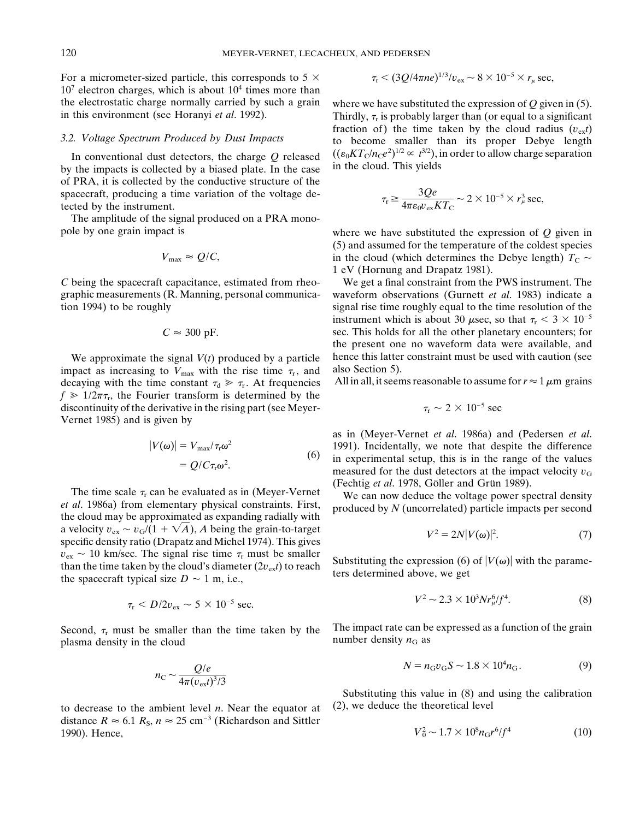For a micrometer-sized particle, this corresponds to 5  $\times$  $10<sup>7</sup>$  electron charges, which is about  $10<sup>4</sup>$  times more than the electrostatic charge normally carried by such a grain where we have substituted the expression of *Q* given in (5).<br>in this environment (see Horanyi *et al.* 1992). Thirdly,  $\tau_r$  is probably larger than (or equal to

by the impacts is collected by a biased plate. In the case in the cloud. This yields of PRA, it is collected by the conductive structure of the spacecraft, producing a time variation of the voltage detected by the instrument.

The amplitude of the signal produced on a PRA monopole by one grain impact is where we have substituted the expression of *Q* given in

$$
V_{\text{max}} \approx Q/C
$$

*C* being the spacecraft capacitance, estimated from rheo- We get a final constraint from the PWS instrument. The

$$
C \approx 300
$$
 pF.

impact as increasing to  $V_{\text{max}}$  with the rise time  $\tau_r$ , and also Section 5).<br>decaying with the time constant  $\tau_a \gg \tau_r$ . At frequencies All in all, it seems reasonable to assume for  $r \approx 1 \mu m$  grains decaying with the time constant  $\tau_d \gg \tau_r$ . At frequencies  $f \ge 1/2\pi\tau_r$ , the Fourier transform is determined by the discontinuity of the derivative in the rising part (see Meyer-Vernet 1985) and is given by

$$
|V(\omega)| = V_{\text{max}}/\tau_{\text{r}}\omega^2
$$
  
=  $Q/C\tau_{\text{r}}\omega^2$ . (6)

The time scale  $\tau_r$  can be evaluated as in (Meyer-Vernet<br>et al. 1986a) from elementary physical constraints. First,<br>the cloud may be approximated as expanding radially with a velocity  $v_{ex} \sim v_{G}/(1 + \sqrt{A})$ , *A* being the grain-to-target specific density ratio (Drapatz and Michel 1974). This gives  $v_{\text{ex}} \sim 10$  km/sec. The signal rise time  $\tau_r$  must be smaller<br>than the time taken by the cloud's diameter  $(2v_{\text{ex}}t)$  to reach<br>the spacecraft typical size  $D \sim 1$  m, i.e.,

$$
\tau_{\rm r} < D/2v_{\rm ex} \sim 5 \times 10^{-5} \text{ sec.}
$$

$$
n_{\rm C} \sim \frac{Q/e}{4\pi (v_{\rm ext})^3/3}
$$

to decrease to the ambient level *n*. Near the equator at  $(2)$ , we deduce the theoretical level distance  $R \approx 6.1 R_{\rm s}$ ,  $n \approx 25 \text{ cm}^{-3}$  (Richardson and Sittler 1990). Hence,  $V_0^2 \sim 1.7 \times 10^8 n_G r^6 / f^4$  (10)

$$
\tau_{\rm r} < (3Q/4\pi n e)^{1/3}/v_{\rm ex} \sim 8 \times 10^{-5} \times r_{\mu} \sec,
$$

Thirdly,  $\tau_r$  is probably larger than (or equal to a significant fraction of) the time taken by the cloud radius ( $v_{ex}t$ ) 3.2. Voltage Spectrum Produced by Dust Impacts to become smaller than its proper Debye length In conventional dust detectors, the charge Q released  $((\epsilon_0 KT_C/n_Ce^2)^{1/2} \propto t^{3/2})$ , in order to allow charge separation

$$
\tau_{\rm r} \ge \frac{3Qe}{4\pi\epsilon_0 v_{\rm ex}KT_{\rm C}} \sim 2\times 10^{-5}\times r_{\mu}^3\sec,
$$

(5) and assumed for the temperature of the coldest species in the cloud (which determines the Debye length)  $T_c \sim$ 1 eV (Hornung and Drapatz 1981).

graphic measurements (R. Manning, personal communica- waveform observations (Gurnett *et al*. 1983) indicate a tion 1994) to be roughly signal rise time roughly equal to the time resolution of the instrument which is about 30  $\mu$ sec, so that  $\tau_r < 3 \times 10^{-5}$ sec. This holds for all the other planetary encounters; for the present one no waveform data were available, and We approximate the signal  $V(t)$  produced by a particle hence this latter constraint must be used with caution (see<br>upact as increasing to  $V_{\text{max}}$  with the rise time  $\tau_c$  and also Section 5).

$$
\tau_{\rm r} \sim 2 \times 10^{-5}~{\rm sec}
$$

as in (Meyer-Vernet *et al*. 1986a) and (Pedersen *et al*. 1991). Incidentally, we note that despite the difference in experimental setup, this is in the range of the values measured for the dust detectors at the impact velocity  $v_G$  (Fechtig *et al.* 1978, Göller and Grün 1989).

$$
V^2 = 2N|V(\omega)|^2. \tag{7}
$$

$$
\tau_{\rm r} < D/2 v_{\rm ex} \sim 5 \times 10^{-5} \, \text{sec.} \tag{8}
$$

Second,  $\tau_r$  must be smaller than the time taken by the The impact rate can be expressed as a function of the grain number density  $n_G$  as plasma density in the cloud

$$
N = n_{\rm G} v_{\rm G} S \sim 1.8 \times 10^4 n_{\rm G}.
$$
 (9)

Substituting this value in (8) and using the calibration

$$
V_0^2 \sim 1.7 \times 10^8 n_{\rm G} r^6 / f^4 \tag{10}
$$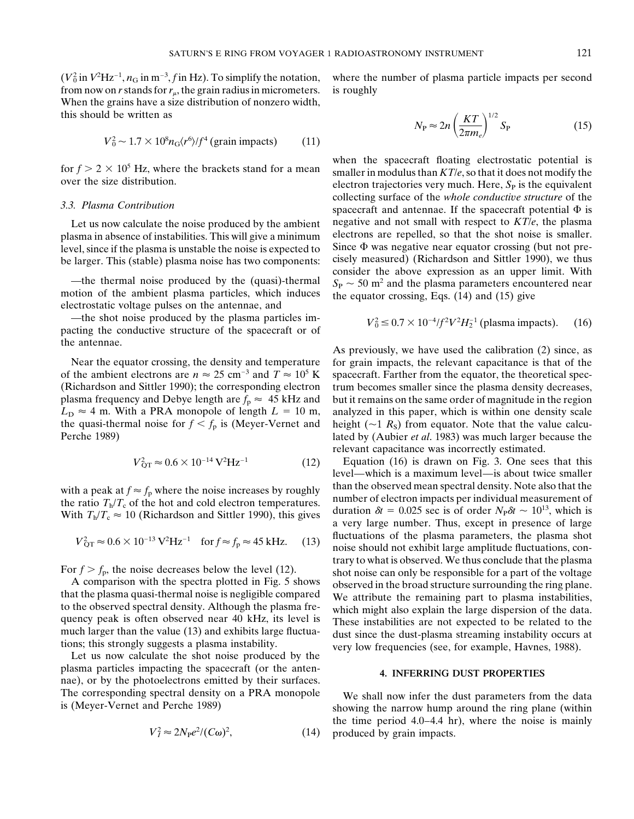$(V_0^2$  in  $V^2$ Hz<sup>-1</sup>,  $n_G$  in m<sup>-3</sup> from now on *r* stands for  $r_u$ , the grain radius in micrometers. is roughly When the grains have a size distribution of nonzero width, this should be written as

$$
V_0^2 \sim 1.7 \times 10^8 n_{\rm G} \langle r^6 \rangle / f^4 \text{ (grain impacts)} \tag{11}
$$

level, since if the plasma is unstable the noise is expected to

—the thermal noise produced by the (quasi)-thermal  $S_P \sim 50$  m<sup>2</sup> and the plasma parameters encountered near<br>motion of the ambient plasma particles, which induces the equator crossing, Eqs. (14) and (15) give<br>electrostati

—the shot noise produced by the plasma particles impacting the conductive structure of the spacecraft or of the antennae. As previously, we have used the calibration (2) since, as

of the ambient electrons are  $n \approx 25$  cm<sup>-3</sup> and  $T \approx 10^5$  K spacecraft. Farther from the equator, the theoretical spec-(Richardson and Sittler 1990); the corresponding electron trum becomes smaller since the plasma density decreases, plasma frequency and Debye length are  $f_p \approx 45$  kHz and but it remains on the same order of magnitude in the region  $L<sub>D</sub> \approx 4$  m. With a PRA monopole of length  $L = 10$  m, analyzed in this paper, which is within one density scale the quasi-thermal noise for  $f < f_p$  is (Meyer-Vernet and height ( $\sim$ 1 *R<sub>S</sub>*) from equator. Note that the value calcu-<br>Perche 1989) and lated by (Aubier *et al.* 1983) was much larger because the

$$
V_{\rm QT}^2 \approx 0.6 \times 10^{-14} \,\mathrm{V}^2 \mathrm{Hz}^{-1} \tag{12}
$$

$$
V_{\rm QT}^2 \approx 0.6 \times 10^{-13} \,\text{V}^2 \text{Hz}^{-1} \quad \text{for } f \approx f_p \approx 45 \,\text{kHz.} \tag{13}
$$

plasma particles impacting the spacecraft (or the anten- **4. INFERRING DUST PROPERTIES** nae), or by the photoelectrons emitted by their surfaces. The corresponding spectral density on a PRA monopole We shall now infer the dust parameters from the data is (Meyer-Vernet and Perche 1989) showing the narrow hump around the ring plane (within

$$
V_I^2 \approx 2N_{\rm P}e^2/(C\omega)^2,\tag{14}
$$

where the number of plasma particle impacts per second

$$
N_{\rm P} \approx 2n \left(\frac{KT}{2\pi m_e}\right)^{1/2} S_{\rm P}
$$
 (15)

 $\text{for } f > 2 \times 10^5 \text{ Hz}$ , where the brackets stand for a mean<br>over the size distribution.<br>over the size distribution.<br>over the size distribution.<br>distribution. collecting surface of the *whole conductive structure* of the *3.3. Plasma Contribution* spacecraft and antennae. If the spacecraft potential  $\Phi$  is Let us now calculate the noise produced by the ambient negative and not small with respect to  $KT/e$ , the plasma as as a smaller. plasma in absence of instabilities. This will give a minimum electrons are repelled, so that the shot noise is smaller.<br>Level since if the plasma is unstable the noise is expected to Since  $\Phi$  was negative near equator c be larger. This (stable) plasma noise has two components: cisely measured) (Richardson and Sittler 1990), we thus consider the above expression as an upper limit. With

$$
V_0^2 \le 0.7 \times 10^{-4} / f^2 V^2 H_2^{-1}
$$
 (plasma impacts). (16)

Near the equator crossing, the density and temperature for grain impacts, the relevant capacitance is that of the lated by (Aubier *et al.* 1983) was much larger because the relevant capacitance was incorrectly estimated.

Equation (16) is drawn on Fig. 3. One sees that this level—which is a maximum level—is about twice smaller with a peak at  $f \approx f_p$  where the noise increases by roughly<br>than the observed mean spectral density. Note also that the<br>the ratio  $T_h/T_c$  of the hot and cold electron temperatures.<br>With  $T_c/T \approx 10$  (Bichardson and Sittler 1 With  $T_h/T_c \approx 10$  (Richardson and Sittler 1990), this gives a very large number. Thus, except in presence of large number.  $V_{\text{max}}^2 \approx 0.6 \times 10^{-13} \text{ V}^2 \text{Hz}^{-1}$  for  $f \approx f \approx 45 \text{ kHz}$  (13) fluctuations of the plasma parameters, the plasma shot hoise should not exhibit large amplitude fluctuations, con-For  $f > f_p$ , the noise decreases below the level (12).<br>
A comparison with the spectra plotted in Fig. 5 shows<br>
that the plasma quasi-thermal noise is negligible compared<br>
that the plasma quasi-thermal noise is negligible c

the time period 4.0–4.4 hr), where the noise is mainly produced by grain impacts.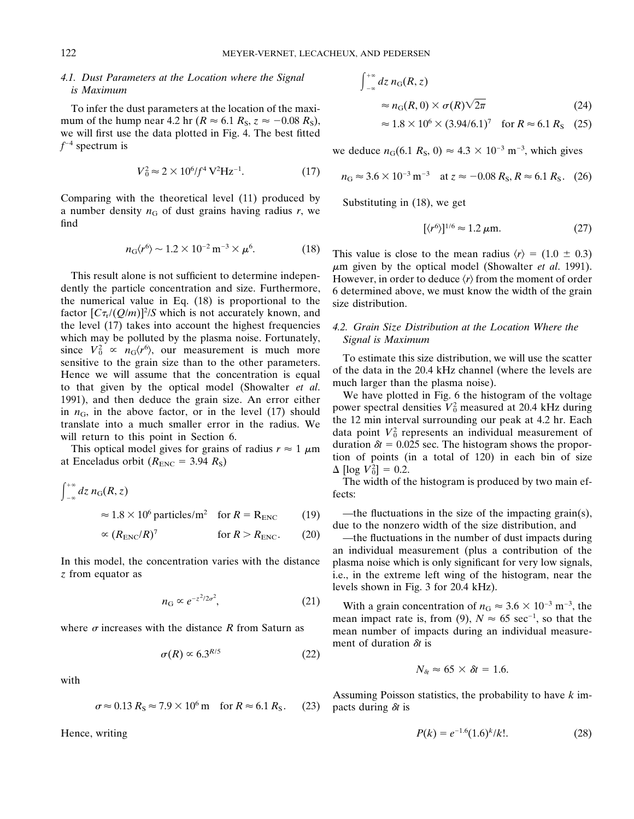# *4.1. Dust Parameters at the Location where the Signal*  $\int_{-\infty}^{+\infty} dz n_G(R, z)$  *is Maximum*

To infer the dust parameters at the location of the maximum of the hump near 4.2 hr ( $R \approx 6.1 R_s$ ,  $z \approx -0.08 R_s$ ), we will first use the data plotted in Fig. 4. The best fitted  $f^{-4}$  spectrum is we deduce  $n_G(6.1 R_S, 0) \approx 4.3 \times 10^{-3} \text{ m}^{-3}$ , which gives

$$
V_0^2 \approx 2 \times 10^6/f^4 \,\text{V}^2\text{Hz}^{-1}.\tag{17}
$$

Comparing with the theoretical level (11) produced by Substituting in (18), we get a number density  $n_G$  of dust grains having radius *r*, we find  $[\langle r^6 \rangle$ 

$$
n_{\rm G}\langle r^6 \rangle \sim 1.2 \times 10^{-2} \,\mathrm{m}^{-3} \times \mu^6. \tag{18}
$$

dently the particle concentration and size. Furthermore, 6 determined above, we must know the width of the grain the numerical value in Eq. (18) is proportional to the size distribution. factor  $[C_{\tau_r}/(Q/m)]^2/S$  which is not accurately known, and the level (17) takes into account the highest frequencies *4.2. Grain Size Distribution at the Location Where the* which may be polluted by the plasma noise. Fortunately, *Signal is Maximum* since  $V_0^2 \propto n_G \langle r^6 \rangle$ since  $V_0^2 \propto n_G \langle r^6 \rangle$ , our measurement is much more<br>sensitive to the grain size than to the other parameters.<br>Hence we will assume that the concentration is equal<br>to that given by the optical model (Showalter *et al.* 1991), and then deduce the grain size. An error either<br>in  $n_G$ , in the above factor, or in the level (17) should power spectral densities  $V_0^2$  measured at 20.4 kHz during<br>translate into a much smaller error in the radi

$$
\int_{-\infty}^{+\infty} dz \, n_{\rm G}(R, z) \qquad \text{fects:}
$$
\n
$$
\approx 1.8 \times 10^6 \, \text{particles/m}^2 \quad \text{for } R = \text{R}_{\rm ENC} \qquad (19) \qquad \frac{-1}{\text{dust}}
$$

$$
\propto (R_{\text{ENC}}/R)^7
$$
 for  $R > R_{\text{ENC}}$ . (20) —the fluctuations in the number of dust impacts during

*z* from equator as i.e., in the extreme left wing of the histogram, near the

$$
n_{\rm G} \propto e^{-z^2/2\sigma^2},\tag{21}
$$

$$
\sigma(R) \propto 6.3^{R/5} \tag{22}
$$

with

$$
\sigma \approx 0.13 R_{\rm S} \approx 7.9 \times 10^6 \,\mathrm{m} \quad \text{for } R \approx 6.1 R_{\rm S}. \tag{23} \text{ packets during } \delta t \text{ is}
$$

*Hence*, writing

$$
\int_{-\infty}^{+\infty} dz \, n_{\rm G}(R, z) \approx n_{\rm G}(R, 0) \times \sigma(R) \sqrt{2\pi}
$$
 (24)

$$
\approx 1.8 \times 10^6 \times (3.94/6.1)^7
$$
 for  $R \approx 6.1 R_s$  (25)

$$
n_{\rm G} \approx 3.6 \times 10^{-3} \,\mathrm{m}^{-3} \quad \text{at } z \approx -0.08 \, R_{\rm S}, R \approx 6.1 \, R_{\rm S}. \tag{26}
$$

$$
[\langle r^6 \rangle]^{1/6} \approx 1.2 \,\mu\text{m}.\tag{27}
$$

This value is close to the mean radius  $\langle r \rangle = (1.0 \pm 0.3)$ Find result alone is not sufficient to determine indepen-<br>denty the optical model (Showalter *et al.* 1991).<br>dently the particle concentration and size. Furthermore, 6 determined above we must know the width of the grain

will return to this point in Section 6.<br>This optical model gives for grains of radius  $r \approx 1 \mu m$  data point  $V_0^2$  represents an individual measurement of duration  $\delta t = 0.025$  sec. The histogram shows the propor-This optical model gives for grains of radius  $r \approx 1 \mu m$  duration  $\delta l = 0.025$  sec. The instogram shows the propor-<br>at Enceladus orbit ( $R_{\text{ENC}} = 3.94 R_S$ )  $_{0}^{2}$ ] = 0.2.

The width of the histogram is produced by two main effects:

—the fluctuations in the size of the impacting grain(s), due to the nonzero width of the size distribution, and

an individual measurement (plus a contribution of the In this model, the concentration varies with the distance plasma noise which is only significant for very low signals, levels shown in Fig. 3 for 20.4 kHz).

 $(21)$  With a grain concentration of  $n_G \approx 3.6 \times 10^{-3}$  m<sup>-3</sup>, the mean impact rate is, from (9),  $N \approx 65 \text{ sec}^{-1}$ , so that the where  $\sigma$  increases with the distance  $R$  from Saturn as mean number of impacts during an individual measurement of duration  $\delta t$  is

$$
N_{\delta t} \approx 65 \times \delta t = 1.6.
$$

Assuming Poisson statistics, the probability to have *k* im-

$$
P(k) = e^{-1.6} (1.6)^k / k!.
$$
 (28)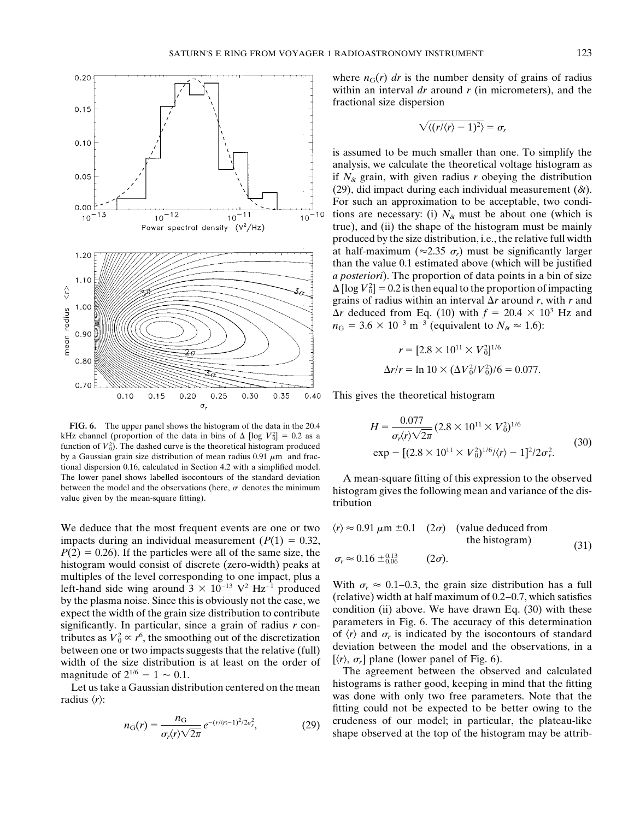

**FIG. 6.** The upper panel shows the histogram of the data in the 20.4 kHz channel (proportion of the data in bins of  $\Delta$  [log  $V_0^2$ ] = 0.2 as a<br>function of  $V_0^2$ ). The dashed curve is the theoretical histogram produced<br> $(30)$ function of *V*<sub>0</sub><sup>2</sup>). The dashed curve is the theoretical histogram produced<br>by a Gaussian grain size distribution of mean radius 0.91 *um*, and frace  $\exp - [(2.8 \times 10^{11} \times V_0^2 + (2.8 \times 10^{12} \times V_0^2)]$ by a Gaussian grain size distribution of mean radius  $0.91 \mu m$  and fractional dispersion 0.16, calculated in Section 4.2 with a simplified model. The lower panel shows labelled isocontours of the standard deviation A mean-square fitting of this expression to the observed between the model and the observations (here,  $\sigma$  denotes the minimum bistogram gives the foll

We deduce that the most frequent events are one or two impacts during an individual measurement ( $P(1) = 0.32$ ,  $P(2) = 0.26$ ). If the particles were all of the same size, the  $\sigma_r \approx 0.16 \pm 0.13$ histogram would consist of discrete (zero-width) peaks at  $\sigma_r \approx 0.16 \pm 0.06$  (2 $\sigma$ ).<br>multiples of the level corresponding to one impact, plus a multiples of the level corresponding to one impact, plus a<br>left-hand side wing around  $3 \times 10^{-13}$  V<sup>2</sup> Hz<sup>-1</sup> produced<br>by the plasma noise. Since this is obviously not the case, we<br>expect the width of the grain size dist tributes as  $V_0^2 \propto r^6$ , the smoothing out of the discretization of  $\langle r \rangle$  and  $\sigma_r$  is indicated by the isocontours of standard tributes as  $V_0^2 \propto r^6$ , the smoothing out of the discretization deviation between the model and the observations, in a between one or two impacts suggests that the relative (full) deviation between the model and the ob width of the size distribution is at least on the order of magnitude of  $2^{1/6} - 1 \approx 0.1$ .

radius  $\langle r \rangle$ :

$$
n_{\rm G}(r) = \frac{n_{\rm G}}{\sigma_r \langle r \rangle \sqrt{2\pi}} e^{-(r/(r)-1)^2/2\sigma_r^2},\tag{29}
$$

where  $n_G(r)$  *dr* is the number density of grains of radius within an interval *dr* around *r* (in micrometers), and the fractional size dispersion

$$
\sqrt{\langle (r/\langle r\rangle - 1)^2 \rangle} = \sigma_r
$$

is assumed to be much smaller than one. To simplify the analysis, we calculate the theoretical voltage histogram as if  $N_{\delta t}$  grain, with given radius *r* obeying the distribution (29), did impact during each individual measurement  $(\delta t)$ . For such an approximation to be acceptable, two conditions are necessary: (i)  $N_{\delta t}$  must be about one (which is true), and (ii) the shape of the histogram must be mainly produced by the size distribution, i.e., the relative full width at half-maximum ( $\approx$ 2.35  $\sigma_r$ ) must be significantly larger than the value 0.1 estimated above (which will be justified *a posteriori*). The proportion of data points in a bin of size  $\Delta$  [log  $V_0^2$ ] = 0.2 is then equal to the proportion of impacting grains of radius within an interval  $\Delta r$  around *r*, with *r* and  $\Delta r$  deduced from Eq. (10) with  $f = 20.4 \times 10^3$  Hz and  $n_G = 3.6 \times 10^{-3} \text{ m}^{-3}$  (equivalent to  $N_{\alpha} \approx 1.6$ ):

$$
r = [2.8 \times 10^{11} \times V_0^2]^{1/6}
$$
  

$$
\Delta r/r = \ln 10 \times (\Delta V_0^2/V_0^2)/6 = 0.077.
$$

This gives the theoretical histogram

$$
H = \frac{0.077}{\sigma_r \langle r \rangle \sqrt{2\pi}} (2.8 \times 10^{11} \times V_0^2)^{1/6}
$$
  
exp - [(2.8 \times 10^{11} \times V\_0^2)^{1/6} / \langle r \rangle - 1]^2 / 2\sigma\_r^2. (30)

between the model and the observations (here,  $\sigma$  denotes the minimum histogram gives the following mean and variance of the dis-<br>tribution

$$
\langle r \rangle \approx 0.91 \,\mu\text{m} \pm 0.1
$$
 (2*σ*) (value deduced from  
the histogram) (31)

The agreement between the observed and calculated Let us take a Gaussian distribution centered on the mean histograms is rather good, keeping in mind that the fitting fitting could not be expected to be better owing to the crudeness of our model; in particular, the plateau-like shape observed at the top of the histogram may be attrib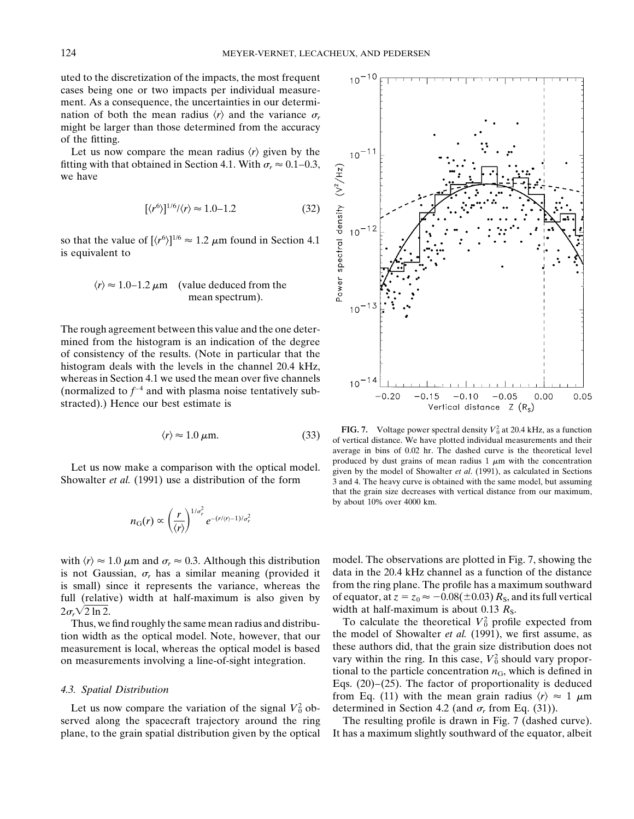uted to the discretization of the impacts, the most frequent cases being one or two impacts per individual measurement. As a consequence, the uncertainties in our determination of both the mean radius  $\langle r \rangle$  and the variance  $\sigma_r$ might be larger than those determined from the accuracy of the fitting.

Let us now compare the mean radius  $\langle r \rangle$  given by the fitting with that obtained in Section 4.1. With  $\sigma_r \approx 0.1-0.3$ , we have

$$
[\langle r^6 \rangle]^{1/6} / \langle r \rangle \approx 1.0 - 1.2 \tag{32}
$$

so that the value of  $[\langle r^6 \rangle]^{1/6} \approx 1.2 \mu m$  found in Section 4.1 is equivalent to

$$
\langle r \rangle \approx 1.0-1.2 \,\mu\text{m}
$$
 (value deduced from the mean spectrum).

The rough agreement between this value and the one determined from the histogram is an indication of the degree of consistency of the results. (Note in particular that the histogram deals with the levels in the channel 20.4 kHz, whereas in Section 4.1 we used the mean over five channels (normalized to  $f^{-4}$  and with plasma noise tentatively substracted).) Hence our best estimate is

$$
\langle r \rangle \approx 1.0 \,\mu\text{m}.\tag{33}
$$

$$
n_{\rm G}(r) \propto \left(\frac{r}{\langle r \rangle}\right)^{1/\sigma_r^2} e^{-(r/\langle r \rangle - 1)/\sigma_r^2}
$$

with  $\langle r \rangle \approx 1.0 \mu$ m and  $\sigma_r \approx 0.3$ . Although this distribution model. The observations are plotted in Fig. 7, showing the is not Gaussian.  $\sigma_r$  has a similar meaning (provided it data in the 20.4 kHz channel as a func is not Gaussian,  $\sigma_r$  has a similar meaning (provided it data in the 20.4 kHz channel as a function of the distance is small) since it represents the variance, whereas the from the ring plane. The profile has a maximum s is small) since it represents the variance, whereas the full (relative) width at half-maximum is also given by of equator, at  $z = z_0 \approx -0.08(\pm 0.03) R_s$ , and its full vertical  $2\sigma_r\sqrt{2 \ln 2}$ . width at half-maximum is about 0.13  $R_s$ .

measurement is local, whereas the optical model is based

Let us now compare the variation of the signal  $V_0^2$  ob-<br>determined in Section 4.2 (and  $\sigma_r$  from Eq. (31)). served along the spacecraft trajectory around the ring The resulting profile is drawn in Fig. 7 (dashed curve).

 $\langle r \rangle \approx 1.0 \,\mu$ m. (33) FIG. 7. Voltage power spectral density  $V_0^2$  at 20.4 kHz, as a function of vertical distance. We have plotted individual measurements and their average in bins of 0.02 hr. The dashed curve is the theoretical level Let us now make a comparison with the optical model.  $\frac{1}{2}$  produced by dust grains of mean radius 1  $\mu$ m with the concentration given by the model of Showalter *et al.* (1991), as calculated in Sections Showalter *et al.* (1991) use a distribution of the form 3 and 4. The heavy curve is obtained with the same model, but assuming that the grain size decreases with vertical distance from our maximum, by about 10% over 4000 km.

Thus, we find roughly the same mean radius and distribu-<br>To calculate the theoretical  $V_0^2$  profile expected from tion width as the optical model. Note, however, that our the model of Showalter *et al.* (1991), we first assume, as measurement is local whereas the optical model is based these authors did, that the grain size distributi on measurements involving a line-of-sight integration. vary within the ring. In this case,  $V_0^2$  should vary proportional to the particle concentration  $n<sub>G</sub>$ , which is defined in 4.3. Spatial Distribution **4.3.** Spatial Distribution **Fig.** (20)–(25). The factor of proportionality is deduced from Eq. (11) with the mean grain radius  $\langle r \rangle \approx 1 \mu m$ 

plane, to the grain spatial distribution given by the optical It has a maximum slightly southward of the equator, albeit

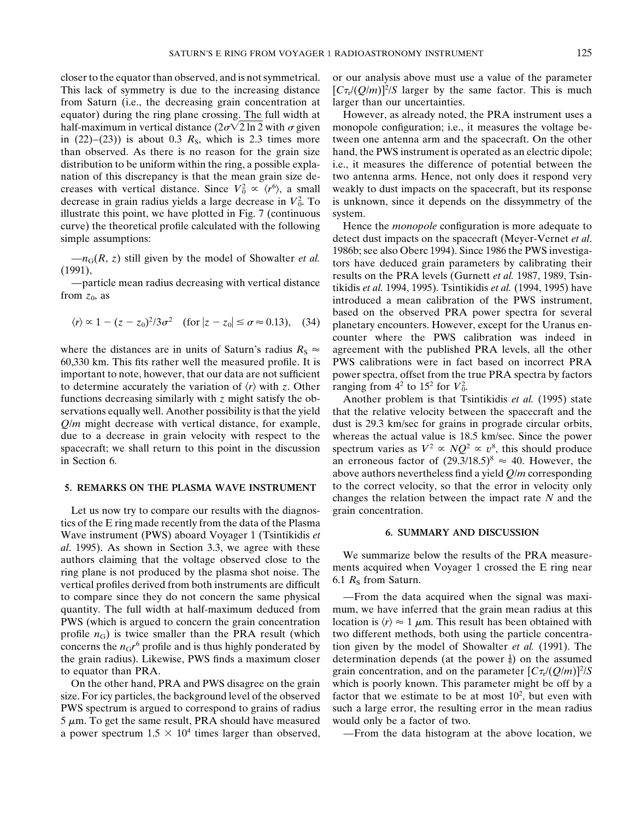This lack of symmetry is due to the increasing distance  $[\frac{C\tau_l}{Q/m}]^2/S$  larger by the same factor. This is much from Saturn (i.e., the decreasing grain concentration at larger than our uncertainties. equator) during the ring plane crossing. The full width at However, as already noted, the PRA instrument uses a half-maximum in vertical distance  $(2\sigma\sqrt{2} \ln 2 \text{ with } \sigma \text{ given }$  monopole configuration; i.e., it measures the voltage bein  $(22)-(23)$ ) is about 0.3  $R_s$ , which is 2.3 times more tween one antenna arm and the spacecraft. On the other than observed. As there is no reason for the grain size hand, the PWS instrument is operated as an electric dipole; distribution to be uniform within the ring, a possible expla- i.e., it measures the difference of potential between the nation of this discrepancy is that the mean grain size de- two antenna arms. Hence, not only does it respond very creases with vertical distance. Since  $V_0^2 \propto \langle r^6 \rangle$ , a small weakly to dust impacts on the spacecraft, but its response decrease in grain radius yields a large decrease in  $V_0^2$ illustrate this point, we have plotted in Fig. 7 (continuous system. curve) the theoretical profile calculated with the following Hence the *monopole* configuration is more adequate to

$$
\langle r \rangle \propto 1 - (z - z_0)^2 / 3\sigma^2 \quad \text{(for } |z - z_0| \le \sigma \approx 0.13\text{)}, \quad (34)
$$

60,330 km. This fits rather well the measured profile. It is PWS calibrations were in fact based on incorrect PRA important to note, however, that our data are not sufficient power spectra, offset from the true PRA spectra by factors to determine accurately the variation of  $\langle r \rangle$  with *z*. Other functions decreasing similarly with *z* might satisfy the ob- Another problem is that Tsintikidis *et al.* (1995) state spacecraft; we shall return to this point in the discussion

Let us now try to compare our results with the diagnos-<br>grain concentration. tics of the E ring made recently from the data of the Plasma Wave instrument (PWS) aboard Voyager 1 (Tsintikidis *et* **6. SUMMARY AND DISCUSSION** al. 1995). As shown in Section 3.3, we agree with these<br>authors claiming that the voltage observed close to the<br>ring plane is not produced by the plasma shot noise. The<br>vertical profiles derived from both instruments are

size. For icy particles, the background level of the observed  $5 \mu$ m. To get the same result, PRA should have measured would only be a factor of two. a power spectrum  $1.5 \times 10^4$  times larger than observed, - - From the data histogram at the above location, we

closer to the equator than observed, and is not symmetrical. or our analysis above must use a value of the parameter

is unknown, since it depends on the dissymmetry of the

simple assumptions: detect dust impacts on the spacecraft (Meyer-Vernet *et al*.  $-n_G(R, z)$  still given by the model of Showalter *et al.*<br>(1991),<br>(1991),<br>—particle mean radius decreasing with vertical distance<br>from  $z_0$ , as<br>the PWS interval distance the PRA levels (Gurnett *et al.* 1987, 1989, Tsin-<br>t  $\langle r \rangle \propto 1 - (z - z_0)^2/3\sigma^2$  (for  $|z - z_0| \le \sigma \approx 0.13$ ), (34) planetary encounters. However, except for the Uranus encounter where the PWS calibration was indeed in where the distances are in units of Saturn's radius  $R_S \approx$  agreement with the published PRA levels, all the other 2 .

servations equally well. Another possibility is that the yield that the relative velocity between the spacecraft and the *Q*/*m* might decrease with vertical distance, for example, dust is 29.3 km/sec for grains in prograde circular orbits, due to a decrease in grain velocity with respect to the whereas the actual value is 18.5 km/sec. Since the power spectrum varies as  $V^2 \propto NQ^2 \propto v^8$ , this should produce in Section 6. an erroneous factor of  $(29.3/18.5)^8 \approx 40$ . However, the above authors nevertheless find a yield *Q*/*m* corresponding 5. REMARKS ON THE PLASMA WAVE INSTRUMENT to the correct velocity, so that the error in velocity only changes the relation between the impact rate *N* and the

to compare since they do not concern the same physical —From the data acquired when the signal was maxiquantity. The full width at half-maximum deduced from mum, we have inferred that the grain mean radius at this PWS (which is argued to concern the grain concentration location is  $\langle r \rangle \approx 1 \mu$ m. This result has been obtained with profile  $n<sub>G</sub>$ ) is twice smaller than the PRA result (which two different methods, both using the particle concentraconcerns the  $n_Gr^6$  profile and is thus highly ponderated by tion given by the model of Showalter *et al.* (1991). The the grain radius). Likewise, PWS finds a maximum closer determination depends (at the power  $\frac{1}{6}$ ) on the assumed to equator than PRA.  $grain concentration$ , and on the parameter  $[Cr_r/(Q/m)]^2/S$ On the other hand, PRA and PWS disagree on the grain which is poorly known. This parameter might be off by a factor that we estimate to be at most  $10^2$ , but even with PWS spectrum is argued to correspond to grains of radius such a large error, the resulting error in the mean radius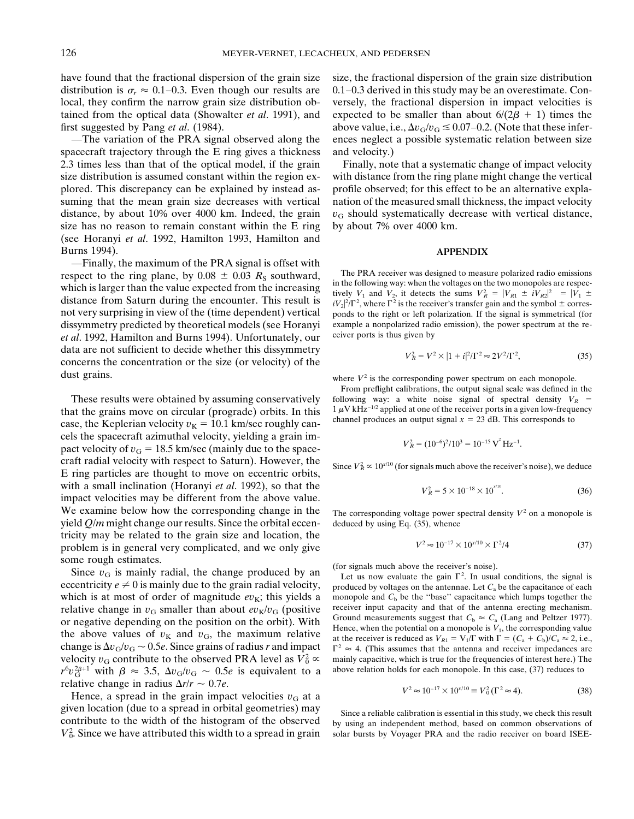spacecraft trajectory through the E ring gives a thickness and velocity.) 2.3 times less than that of the optical model, if the grain Finally, note that a systematic change of impact velocity size has no reason to remain constant within the E ring by about  $7\%$  over 4000 km. (see Horanyi *et al*. 1992, Hamilton 1993, Hamilton and Burns 1994). **APPENDIX**

—Finally, the maximum of the PRA signal is offset with respect to the ring plane, by  $0.08 \pm 0.03$   $R_s$  southward,<br>which is larger than the value expected from the increasing<br>which is larger than the value expected from the increasing distance from Saturn during the encounter. This result is et al. 1992, Hamilton and Burns 1994). Unfortunately, our data are not sufficient to decide whether this dissymmetry concerns the concentration or the size (or velocity) of the dust grains. **where**  $V^2$  is the corresponding power spectrum on each monopole.

that the grains move on circular (prograde) orbits. In this  $1 \mu V kHz^{-1/2}$  applied at one of the receiver ports in a given low-frequencase, the Keplerian velocity  $v_K = 10.1$  km/sec roughly can-<br>channel produces an output s cels the spacecraft azimuthal velocity, yielding a grain impact velocity of  $v_G = 18.5$  km/sec (mainly due to the spacecraft radial velocity with respect to Saturn). However, the Since  $V_R^2 \propto 10^{\frac{1}{10}}$  (for signals much above the receiver's noise), we deduce *R* Fing particles are thought to move on eccentric orbits, with a small inclination (Horanyi et al. 1992), so that the *R*  $\frac{1}{2}$  5  $\frac{1}{2}$  5  $\frac{1}{2}$  5  $\frac{1}{2}$  impact velocities may be different from the above value. We examine below how the corresponding change in the  $\tau_{\text{The corresponding voltage power spectral density } V^2 \text{ on a monopole is}}$ yield  $Q/m$  might change our results. Since the orbital eccen- deduced by using Eq. (35), whence tricity may be related to the grain size and location, the problem is in general very complicated, and we only give some rough estimates.<br>Since *v*<sub>G</sub> is mainly radial, the change produced by an  $\frac{1}{L}$  et us now evaluate the gain  $\Gamma^2$ . In usual

 $r^6v_G^{2\beta+1}$  with  $\beta \approx 3.5$ ,  $\Delta v_G/v_G \sim 0.5e$  is equivalent to a above relation holds for each monopole. In this case, (37) reduces to relative change in radius  $\Delta r/r \sim 0.7e$ .

Hence, a spread in the grain impact velocities  $v<sub>G</sub>$  at a given location (due to a spread in orbital geometries) may<br>contribute to the width of the histogram of the observed by using an independent method based on common observations of  $V_0^2$ . Since we have attributed this width to a spread in grain solar bursts by Voyager PRA and the radio receiver on board ISEE-

have found that the fractional dispersion of the grain size size, the fractional dispersion of the grain size distribution distribution is  $\sigma_r \approx 0.1$ –0.3. Even though our results are 0.1–0.3 derived in this study may be an overestimate. Conlocal, they confirm the narrow grain size distribution ob- versely, the fractional dispersion in impact velocities is tained from the optical data (Showalter *et al.* 1991), and expected to be smaller than about  $6/(2\beta + 1)$  times the first suggested by Pang *et al.* (1984). above value, i.e.,  $\Delta v_{\rm G}/v_{\rm G} \lesssim 0.07-0.2$ . (Note that these infer-—The variation of the PRA signal observed along the ences neglect a possible systematic relation between size

size distribution is assumed constant within the region ex- with distance from the ring plane might change the vertical plored. This discrepancy can be explained by instead as- profile observed; for this effect to be an alternative explasuming that the mean grain size decreases with vertical nation of the measured small thickness, the impact velocity distance, by about 10% over 4000 km. Indeed, the grain  $v<sub>G</sub>$  should systematically decrease with vertical distance,

 $R_R^2 = |V_{R1} \pm iV_{R2}|^2 = |V_1 \pm iV_1|$  $^{2}/\Gamma^{2}$ , where  $\Gamma^{2}$  is the receiver's transfer gain and the symbol  $\pm$  corresnot very surprising in view of the (time dependent) vertical ponds to the right or left polarization. If the signal is symmetrical (for dissymmetry predicted by theoretical models (see Horanyi example a nonpolarized radio emission), the power spectrum at the re-<br>et al. 1992. Hamilton and Burns 1994). Unfortunately, our ceiver ports is thus given by

$$
V_R^2 = V^2 \times |1 + i|^2 / \Gamma^2 \approx 2V^2 / \Gamma^2,
$$
 (35)

From preflight calibrations, the output signal scale was defined in the These results were obtained by assuming conservatively following way: a white noise signal of spectral density  $V_R =$ <br>at the grains move on circular (prograde) orbits In this  $1 \mu V kHz^{-1/2}$  applied at one of the receiver po

$$
V_R^2 = (10^{-6})^2 / 10^3 = 10^{-15} \,\text{V}^2 \,\text{Hz}^{-1}
$$

$$
V_R^2 = 5 \times 10^{-18} \times 10^{10}.\tag{36}
$$

$$
V^2 \approx 10^{-17} \times 10^{x/10} \times \Gamma^2 / 4 \tag{37}
$$

Let us now evaluate the gain  $\Gamma^2$ . In usual conditions, the signal is eccentricity  $e \neq 0$  is mainly due to the grain radial velocity, produced by voltages on the antennae. Let  $C_a$  be the capacitance of each which is at most of order of magnitude  $ev_K$ ; this yields a monopole and  $C_b$  be the "base" capacitance which lumps together the relative change in  $v_G$  smaller than about  $ev_K/v_G$  (positive receiver input capacity and that relative change in  $v_G$  smaller than about  $ev_K/v_G$  (positive<br>or negative depending on the position on the orbit). With<br>the above values of  $v_K$  and  $v_G$ , the maximum relative<br>the above values of  $v_K$  and  $v_G$ , the maximum change is  $\Delta v_G/v_G \sim 0.5e$ . Since grains of radius *r* and impact  $\Gamma^2 \approx 4$ . (This assumes that the antenna and receiver impedances are velocity  $v_G$  contribute to the observed PRA level as  $V_0^2 \propto$  mainly capacitive, which is true for the frequencies of interest here.) The

$$
V^2 \approx 10^{-17} \times 10^{x/10} \equiv V_0^2 (\Gamma^2 \approx 4). \tag{38}
$$

by using an independent method, based on common observations of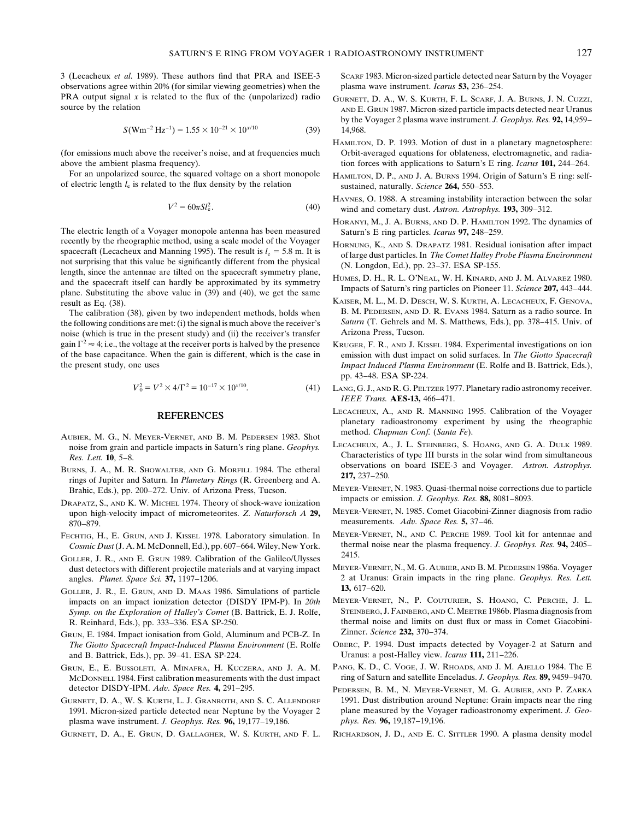3 (Lecacheux *et al*. 1989). These authors find that PRA and ISEE-3 SCARF 1983. Micron-sized particle detected near Saturn by the Voyager observations agree within 20% (for similar viewing geometries) when the plasma wave instrument. *Icarus* **53,** 236–254.

$$
S(\text{Wm}^{-2}\text{Hz}^{-1}) = 1.55 \times 10^{-21} \times 10^{x/10} \tag{39}
$$

For an unpolarized source, the squared voltage on a short monopole HAMILTON, D. P., AND J. A. BURNS 1994. Origin of Saturn's E ring: selfof electric length *l*<sup>e</sup> is related to the flux density by the relation sustained, naturally. *Science* **264,** 550–553.

$$
V^2 = 60\pi S l_e^2.
$$
 (40)

The electric length of a Voyager monopole antenna has been measured<br>recently by the rheographic method, using a scale model of the Voyager<br>HOPNING K AND S. DRARATZ 1981. Residual recently by the rheographic method, using a scale model of the Voyager<br>spacecraft (Lecacheux and Manning 1995). The result is  $l_e = 5.8$  m. It is<br>not surprising that this value be significantly different from the physical<br> not surprising that this value be significantly different from the physical<br>length, since the antennae are tilted on the spacecraft symmetry plane,<br>and the spacecraft itself can hardly be approximated by its symmetry<br>plane

the following conditions are met: (i) the signal is much above the receiver's Saturn (T. Gehrels and noise (which is true in the present study) and (ii) the receiver's transfer Arizona Press, Tucson. noise (which is true in the present study) and (ii) the receiver's transfer gain  $\Gamma^2 \approx 4$ ; i.e., the voltage at the receiver ports is halved by the presence KRUGER, F. R., AND J. KISSEL 1984. Experimental investigations on ion of the base capacitance. When the gain is different, which is the ca

$$
V_0^2 = V^2 \times 4/\Gamma^2 = 10^{-17} \times 10^{x/10}.
$$
 (41)

- method. *Chapman Conf.* (*Santa Fe*). AUBIER, M. G., N. MEYER-VERNET, AND B. M. PEDERSEN 1983. Shot noise from grain and particle impacts in Saturn's ring plane. *Geophys.*
- BURNS, J. A., M. R. SHOWALTER, AND G. MORFILL 1984. The etheral observations<br>rings of Jupiter and Saturn. In *Planetary Rings* (R. Greenberg and A. **217,** 237–250.
- EXAPATZ, S., AND K. W. MICHEL 1974. Theory of shock-wave ionization<br>upon high-velocity impact of micrometeorites 7 Naturforch A 29 MEYER-VERNET, N. 1985. Comet Giacobini-Zinner diagnosis from radio upon high-velocity impact of micrometeorites. *Z. Naturforsch A* **29,** measurements. *Adv. Space Res.* **5,** 37–46. 870–879.
- *Cosmic Dust* (J. A. M. McDonnell, Ed.), pp. 607–664. Wiley, New York. therm<br>  $\frac{1000 \text{ G H}}{2415}$
- GOLLER, J. R., AND E. GRUN 1989. Calibration of the Galileo/Ulysses<br>dust detectors with different projectile materials and at varying impact MEYER-VERNET, N., M. G. AUBIER, AND B. M. PEDERSEN 1986a. Voyager dust detectors with different projectile materials and at varying impact
- **13,** 617–620.<br>
impacts on an impact ionization detector (DISDY IPM-P). In 20th MEYER-VERNET, N., P. COUTURIER, S. HOANG, C. PERCHE, J. L. *Symp. on the Exploration of Halley's Comet* (B. Battrick, E. J. Rolfe,
- GRUN, E. 1984. Impact ionisation from Gold, Aluminum and PCB-Z. In Zinner. *Science* 232, 370–374.<br>The Giotto Spacecraft Impact-Induced Plasma Environment (E. Rolfe OBERC, P. 1994. Dust impacts detected by Voyager-2 at Sat *The Giotto Spacecraft Impact-Induced Plasma Environment* (E. Rolfe and B. Battrick, Eds.), pp. 39–41. ESA SP-224. Uranus: a post-Halley view. *Icarus* **111,** 211–226.
- detector DISDY-IPM. *Adv. Space Res.* **4,** 291–295. PEDERSEN, B. M., N. MEYER-VERNET, M. G. AUBIER, AND P. ZARKA
- plasma wave instrument. *J. Geophys. Res.* **96,** 19,177–19,186. *phys. Res.* **96,** 19,187–19,196.
- 

- PRA output signal x is related to the flux of the (unpolarized) radio  $G \cup R$  GURNETT, D. A., W. S. KURTH, F. L. SCARF, J. A. BURNS, J. N. CUZZI, source by the relation by the Voyager 2 plasma wave instrument. *J. Geophys. Res.* **92,** 14,959– ) 14,968.
- HAMILTON, D. P. 1993. Motion of dust in a planetary magnetosphere: (for emissions much above the receiver's noise, and at frequencies much Orbit-averaged equations for oblateness, electromagnetic, and radiaabove the ambient plasma frequency). tion forces with applications to Saturn's E ring. *Icarus* **101,** 244–264.
	-
	- HAVNES, O. 1988. A streaming instability interaction between the solar wind and cometary dust. Astron. Astrophys. 193, 309-312.
	- HORANYI, M., J. A. BURNS, AND D. P. HAMILTON 1992. The dynamics of
	-
	-
- KAISER, M. L., M. D. DESCH, W. S. KURTH, A. LECACHEUX, F. GENOVA,<br>The calibration (38) given by two independent methods holds when B. M. PEDERSEN, AND D. R. EVANS 1984. Saturn as a radio source. In The calibration (38), given by two independent methods, holds when B. M. PEDERSEN, AND D. R. EVANS 1984. Saturn as a radio source. In edilibration (38), given by two independent methods, holds when B. M. PEDERSEN, AND D. R
- emission with dust impact on solid surfaces. In *The Giotto Spacecraft* the present study, one uses *Impact Induced Plasma Environment* (E. Rolfe and B. Battrick, Eds.), pp. 43–48. ESA SP-224.
	- 0 LANG, G.J., AND R. G. PELTZER 1977. Planetary radio astronomy receiver. *IEEE Trans.* **AES-13,** 466–471.
	- **REFERENCES** LECACHEUX, A., AND R. MANNING 1995. Calibration of the Voyager planetary radioastronomy experiment by using the rheographic
	- **Res. Lett. 10, 5–8.**<br> **Characteristics of type III bursts in the solar wind from simultaneous 1094** The sthered **beervations** on board ISEE-3 and Voyager. *Astron. Astrophys.*
	- Brahic, Eds.), pp. 200–272. Univ. of Arizona Press, Tucson. MEYER-VERNET, N. 1983. Quasi-thermal noise corrections due to particle<br>RABATA S AND K. W. MIGUEL 1974. Theory of shock weve ionization impacts or emission. J. Geo
		-
- FECHTIG, H., E. GRUN, AND J. KISSEL 1978. Laboratory simulation. In MEYER-VERNET, N., AND C. PERCHE 1989. Tool kit for antennae and Cosmic Dust (J. A. M. McDonnell. Ed.). pp. 607–664. Wiley. New York. thermal noise near th
	- angles. *Planet. Space Sci.* **37,** 1197–1206. 2 at Uranus: Grain impacts in the ring plane. *Geophys. Res. Lett.*
	- impacts on an impact ionization detector (DISDY IPM-P). In 20th MEYER-VERNET, N., P. COUTURIER, S. HOANG, C. PERCHE, J. L.<br>Symp. on the Exploration of Halley's Comet (B. Battrick, E. J. Rolfe, STEINBERG, J. FAINBERG, AND C R. Reinhard, Eds.), pp. 333–336. ESA SP-250. thermal noise and limits on dust flux or mass in Comet Giacobini-
		-
- GRUN, E., E. BUSSOLETI, A. MINAFRA, H. KUCZERA, AND J. A. M. PANG, K. D., C. VOGE, J. W. RHOADS, AND J. M. AJELLO 1984. The E MCDONNELL 1984. First calibration measurements with the dust impact ring of Saturn and satellite Enceladus. *J. Geophys. Res.* **89,** 9459–9470.
- GURNETT, D. A., W. S. KURTH, L. J. GRANROTH, AND S. C. ALLENDORF 1991. Dust distribution around Neptune: Grain impacts near the ring 1991. Micron-sized particle detected near Neptune by the Voyager 2 plane measured by the Voyager radioastronomy experiment. *J. Geo-*
- GURNETT, D. A., E. GRUN, D. GALLAGHER, W. S. KURTH, AND F. L. RICHARDSON, J. D., AND E. C. SITTLER 1990. A plasma density model